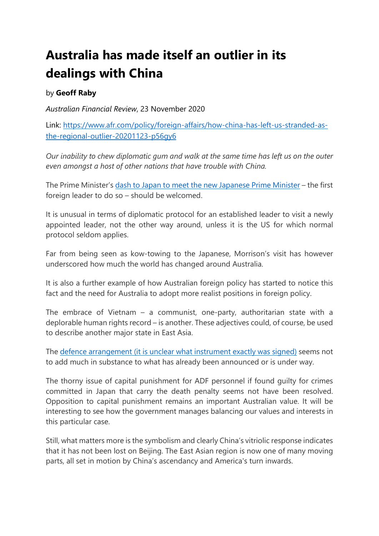## **Australia has made itself an outlier in its dealings with China**

## by **Geoff Raby**

*Australian Financial Review*, 23 November 2020

Link: [https://www.afr.com/policy/foreign-affairs/how-china-has-left-us-stranded-as](https://www.afr.com/policy/foreign-affairs/how-china-has-left-us-stranded-as-the-regional-outlier-20201123-p56gy6)[the-regional-outlier-20201123-p56gy6](https://www.afr.com/policy/foreign-affairs/how-china-has-left-us-stranded-as-the-regional-outlier-20201123-p56gy6)

*Our inability to chew diplomatic gum and walk at the same time has left us on the outer even amongst a host of other nations that have trouble with China.*

The Prime Minister's [dash to Japan to meet the new Japanese Prime Minister](https://www.afr.com/link/follow-20180101-p56eux) – the first foreign leader to do so – should be welcomed.

It is unusual in terms of diplomatic protocol for an established leader to visit a newly appointed leader, not the other way around, unless it is the US for which normal protocol seldom applies.

Far from being seen as kow-towing to the Japanese, Morrison's visit has however underscored how much the world has changed around Australia.

It is also a further example of how Australian foreign policy has started to notice this fact and the need for Australia to adopt more realist positions in foreign policy.

The embrace of Vietnam – a communist, one-party, authoritarian state with a deplorable human rights record – is another. These adjectives could, of course, be used to describe another major state in East Asia.

The [defence arrangement \(it is unclear what instrument exactly was signed\)](https://www.afr.com/link/follow-20180101-p56g99) seems not to add much in substance to what has already been announced or is under way.

The thorny issue of capital punishment for ADF personnel if found guilty for crimes committed in Japan that carry the death penalty seems not have been resolved. Opposition to capital punishment remains an important Australian value. It will be interesting to see how the government manages balancing our values and interests in this particular case.

Still, what matters more is the symbolism and clearly China's vitriolic response indicates that it has not been lost on Beijing. The East Asian region is now one of many moving parts, all set in motion by China's ascendancy and America's turn inwards.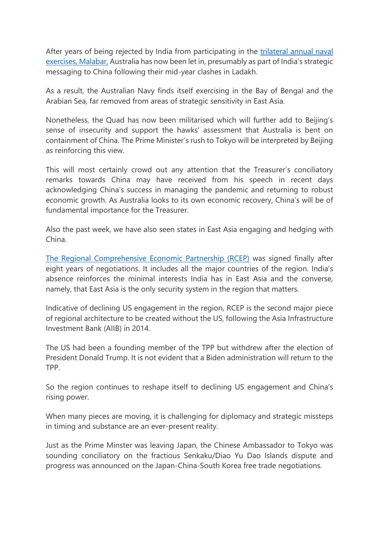After years of being rejected by India from participating in the [trilateral annual naval](https://www.afr.com/link/follow-20180101-p566oq)  [exercises, Malabar,](https://www.afr.com/link/follow-20180101-p566oq) Australia has now been let in, presumably as part of India's strategic messaging to China following their mid-year clashes in Ladakh.

As a result, the Australian Navy finds itself exercising in the Bay of Bengal and the Arabian Sea, far removed from areas of strategic sensitivity in East Asia.

Nonetheless, the Quad has now been militarised which will further add to Beijing's sense of insecurity and support the hawks' assessment that Australia is bent on containment of China. The Prime Minister's rush to Tokyo will be interpreted by Beijing as reinforcing this view.

This will most certainly crowd out any attention that the Treasurer's conciliatory remarks towards China may have received from his speech in recent days acknowledging China's success in managing the pandemic and returning to robust economic growth. As Australia looks to its own economic recovery, China's will be of fundamental importance for the Treasurer.

Also the past week, we have also seen states in East Asia engaging and hedging with China.

[The Regional Comprehensive Economic Partnership \(RCEP\)](https://www.afr.com/link/follow-20180101-p56ev5) was signed finally after eight years of negotiations. It includes all the major countries of the region. India's absence reinforces the minimal interests India has in East Asia and the converse, namely, that East Asia is the only security system in the region that matters.

Indicative of declining US engagement in the region, RCEP is the second major piece of regional architecture to be created without the US, following the Asia Infrastructure Investment Bank (AIIB) in 2014.

The US had been a founding member of the TPP but withdrew after the election of President Donald Trump. It is not evident that a Biden administration will return to the TPP.

So the region continues to reshape itself to declining US engagement and China's rising power.

When many pieces are moving, it is challenging for diplomacy and strategic missteps in timing and substance are an ever-present reality.

Just as the Prime Minster was leaving Japan, the Chinese Ambassador to Tokyo was sounding conciliatory on the fractious Senkaku/Diao Yu Dao Islands dispute and progress was announced on the Japan-China-South Korea free trade negotiations.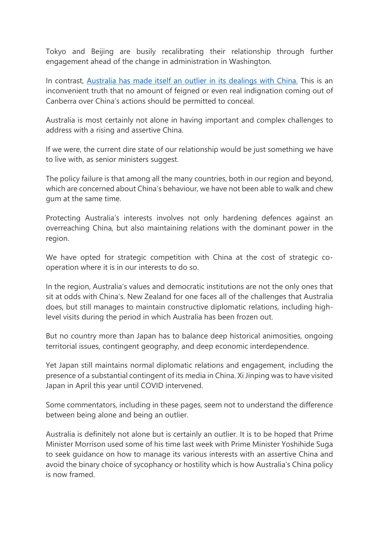Tokyo and Beijing are busily recalibrating their relationship through further engagement ahead of the change in administration in Washington.

In contrast, [Australia has made itself an outlier in its dealings with China.](https://www.afr.com/link/follow-20180101-p56dd8) This is an inconvenient truth that no amount of feigned or even real indignation coming out of Canberra over China's actions should be permitted to conceal.

Australia is most certainly not alone in having important and complex challenges to address with a rising and assertive China.

If we were, the current dire state of our relationship would be just something we have to live with, as senior ministers suggest.

The policy failure is that among all the many countries, both in our region and beyond, which are concerned about China's behaviour, we have not been able to walk and chew gum at the same time.

Protecting Australia's interests involves not only hardening defences against an overreaching China, but also maintaining relations with the dominant power in the region.

We have opted for strategic competition with China at the cost of strategic cooperation where it is in our interests to do so.

In the region, Australia's values and democratic institutions are not the only ones that sit at odds with China's. New Zealand for one faces all of the challenges that Australia does, but still manages to maintain constructive diplomatic relations, including highlevel visits during the period in which Australia has been frozen out.

But no country more than Japan has to balance deep historical animosities, ongoing territorial issues, contingent geography, and deep economic interdependence.

Yet Japan still maintains normal diplomatic relations and engagement, including the presence of a substantial contingent of its media in China. Xi Jinping was to have visited Japan in April this year until COVID intervened.

Some commentators, including in these pages, seem not to understand the difference between being alone and being an outlier.

Australia is definitely not alone but is certainly an outlier. It is to be hoped that Prime Minister Morrison used some of his time last week with Prime Minister Yoshihide Suga to seek guidance on how to manage its various interests with an assertive China and avoid the binary choice of sycophancy or hostility which is how Australia's China policy is now framed.